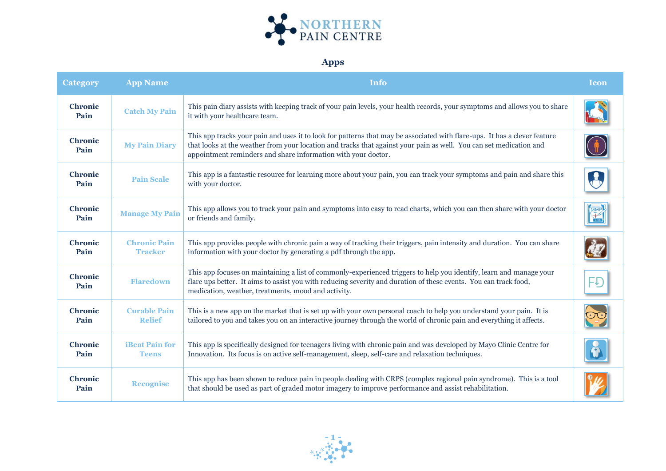

## **Apps**

| <b>Category</b>        | <b>App Name</b>                       | <b>Info</b>                                                                                                                                                                                                                                                                                                      | <b>Icon</b> |
|------------------------|---------------------------------------|------------------------------------------------------------------------------------------------------------------------------------------------------------------------------------------------------------------------------------------------------------------------------------------------------------------|-------------|
| <b>Chronic</b><br>Pain | <b>Catch My Pain</b>                  | This pain diary assists with keeping track of your pain levels, your health records, your symptoms and allows you to share<br>it with your healthcare team.                                                                                                                                                      |             |
| <b>Chronic</b><br>Pain | <b>My Pain Diary</b>                  | This app tracks your pain and uses it to look for patterns that may be associated with flare-ups. It has a clever feature<br>that looks at the weather from your location and tracks that against your pain as well. You can set medication and<br>appointment reminders and share information with your doctor. |             |
| <b>Chronic</b><br>Pain | <b>Pain Scale</b>                     | This app is a fantastic resource for learning more about your pain, you can track your symptoms and pain and share this<br>with your doctor.                                                                                                                                                                     |             |
| <b>Chronic</b><br>Pain | <b>Manage My Pain</b>                 | This app allows you to track your pain and symptoms into easy to read charts, which you can then share with your doctor<br>or friends and family.                                                                                                                                                                |             |
| <b>Chronic</b><br>Pain | <b>Chronic Pain</b><br><b>Tracker</b> | This app provides people with chronic pain a way of tracking their triggers, pain intensity and duration. You can share<br>information with your doctor by generating a pdf through the app.                                                                                                                     |             |
| <b>Chronic</b><br>Pain | <b>Flaredown</b>                      | This app focuses on maintaining a list of commonly-experienced triggers to help you identify, learn and manage your<br>flare ups better. It aims to assist you with reducing severity and duration of these events. You can track food,<br>medication, weather, treatments, mood and activity.                   |             |
| <b>Chronic</b><br>Pain | <b>Curable Pain</b><br><b>Relief</b>  | This is a new app on the market that is set up with your own personal coach to help you understand your pain. It is<br>tailored to you and takes you on an interactive journey through the world of chronic pain and everything it affects.                                                                      |             |
| <b>Chronic</b><br>Pain | <b>iBeat Pain for</b><br><b>Teens</b> | This app is specifically designed for teenagers living with chronic pain and was developed by Mayo Clinic Centre for<br>Innovation. Its focus is on active self-management, sleep, self-care and relaxation techniques.                                                                                          |             |
| <b>Chronic</b><br>Pain | <b>Recognise</b>                      | This app has been shown to reduce pain in people dealing with CRPS (complex regional pain syndrome). This is a tool<br>that should be used as part of graded motor imagery to improve performance and assist rehabilitation.                                                                                     |             |

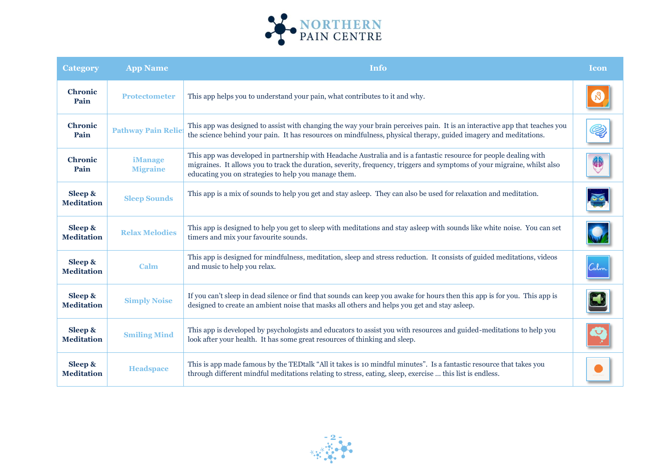

| <b>Category</b>              | <b>App Name</b>                   | <b>Info</b>                                                                                                                                                                                                                                                                                           | <b>Icon</b> |
|------------------------------|-----------------------------------|-------------------------------------------------------------------------------------------------------------------------------------------------------------------------------------------------------------------------------------------------------------------------------------------------------|-------------|
| <b>Chronic</b><br>Pain       | <b>Protectometer</b>              | This app helps you to understand your pain, what contributes to it and why.                                                                                                                                                                                                                           |             |
| <b>Chronic</b><br>Pain       | <b>Pathway Pain Reliet</b>        | This app was designed to assist with changing the way your brain perceives pain. It is an interactive app that teaches you<br>the science behind your pain. It has resources on mindfulness, physical therapy, guided imagery and meditations.                                                        | Q)          |
| <b>Chronic</b><br>Pain       | <b>iManage</b><br><b>Migraine</b> | This app was developed in partnership with Headache Australia and is a fantastic resource for people dealing with<br>migraines. It allows you to track the duration, severity, frequency, triggers and symptoms of your migraine, whilst also<br>educating you on strategies to help you manage them. | \$          |
| Sleep &<br><b>Meditation</b> | <b>Sleep Sounds</b>               | This app is a mix of sounds to help you get and stay asleep. They can also be used for relaxation and meditation.                                                                                                                                                                                     |             |
| Sleep &<br><b>Meditation</b> | <b>Relax Melodies</b>             | This app is designed to help you get to sleep with meditations and stay asleep with sounds like white noise. You can set<br>timers and mix your favourite sounds.                                                                                                                                     |             |
| Sleep &<br><b>Meditation</b> | <b>Calm</b>                       | This app is designed for mindfulness, meditation, sleep and stress reduction. It consists of guided meditations, videos<br>and music to help you relax.                                                                                                                                               | Calm        |
| Sleep &<br><b>Meditation</b> | <b>Simply Noise</b>               | If you can't sleep in dead silence or find that sounds can keep you awake for hours then this app is for you. This app is<br>designed to create an ambient noise that masks all others and helps you get and stay asleep.                                                                             |             |
| Sleep &<br><b>Meditation</b> | <b>Smiling Mind</b>               | This app is developed by psychologists and educators to assist you with resources and guided-meditations to help you<br>look after your health. It has some great resources of thinking and sleep.                                                                                                    |             |
| Sleep &<br><b>Meditation</b> | <b>Headspace</b>                  | This is app made famous by the TED talk "All it takes is 10 mindful minutes". Is a fantastic resource that takes you<br>through different mindful meditations relating to stress, eating, sleep, exercise  this list is endless.                                                                      |             |

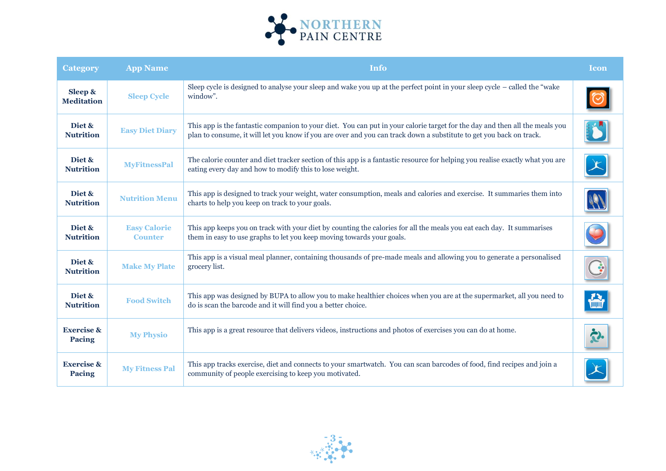

| <b>Category</b>                        | <b>App Name</b>                       | <b>Info</b>                                                                                                                                                                                                                                        | <b>Icon</b> |
|----------------------------------------|---------------------------------------|----------------------------------------------------------------------------------------------------------------------------------------------------------------------------------------------------------------------------------------------------|-------------|
| Sleep &<br><b>Meditation</b>           | <b>Sleep Cycle</b>                    | Sleep cycle is designed to analyse your sleep and wake you up at the perfect point in your sleep cycle – called the "wake"<br>window".                                                                                                             |             |
| Diet &<br><b>Nutrition</b>             | <b>Easy Diet Diary</b>                | This app is the fantastic companion to your diet. You can put in your calorie target for the day and then all the meals you<br>plan to consume, it will let you know if you are over and you can track down a substitute to get you back on track. |             |
| Diet &<br><b>Nutrition</b>             | <b>MyFitnessPal</b>                   | The calorie counter and diet tracker section of this app is a fantastic resource for helping you realise exactly what you are<br>eating every day and how to modify this to lose weight.                                                           |             |
| Diet &<br><b>Nutrition</b>             | <b>Nutrition Menu</b>                 | This app is designed to track your weight, water consumption, meals and calories and exercise. It summaries them into<br>charts to help you keep on track to your goals.                                                                           |             |
| Diet &<br><b>Nutrition</b>             | <b>Easy Calorie</b><br><b>Counter</b> | This app keeps you on track with your diet by counting the calories for all the meals you eat each day. It summarises<br>them in easy to use graphs to let you keep moving towards your goals.                                                     |             |
| Diet &<br><b>Nutrition</b>             | <b>Make My Plate</b>                  | This app is a visual meal planner, containing thousands of pre-made meals and allowing you to generate a personalised<br>grocery list.                                                                                                             |             |
| Diet &<br><b>Nutrition</b>             | <b>Food Switch</b>                    | This app was designed by BUPA to allow you to make healthier choices when you are at the supermarket, all you need to<br>do is scan the barcode and it will find you a better choice.                                                              |             |
| <b>Exercise &amp;</b><br><b>Pacing</b> | <b>My Physio</b>                      | This app is a great resource that delivers videos, instructions and photos of exercises you can do at home.                                                                                                                                        |             |
| <b>Exercise &amp;</b><br><b>Pacing</b> | <b>My Fitness Pal</b>                 | This app tracks exercise, diet and connects to your smartwatch. You can scan barcodes of food, find recipes and join a<br>community of people exercising to keep you motivated.                                                                    |             |

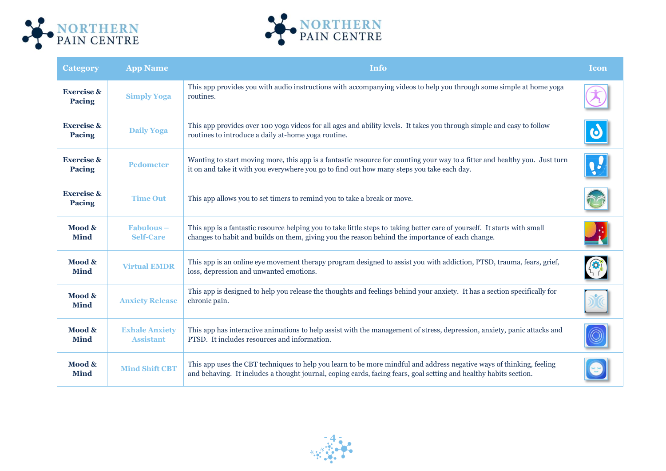



| <b>Category</b>                        | <b>App Name</b>                           | <b>Info</b>                                                                                                                                                                                                                               | <b>Icon</b> |
|----------------------------------------|-------------------------------------------|-------------------------------------------------------------------------------------------------------------------------------------------------------------------------------------------------------------------------------------------|-------------|
| <b>Exercise &amp;</b><br><b>Pacing</b> | <b>Simply Yoga</b>                        | This app provides you with audio instructions with accompanying videos to help you through some simple at home yoga<br>routines.                                                                                                          |             |
| <b>Exercise &amp;</b><br><b>Pacing</b> | <b>Daily Yoga</b>                         | This app provides over 100 yoga videos for all ages and ability levels. It takes you through simple and easy to follow<br>routines to introduce a daily at-home yoga routine.                                                             |             |
| <b>Exercise &amp;</b><br><b>Pacing</b> | <b>Pedometer</b>                          | Wanting to start moving more, this app is a fantastic resource for counting your way to a fitter and healthy you. Just turn<br>it on and take it with you everywhere you go to find out how many steps you take each day.                 |             |
| <b>Exercise &amp;</b><br><b>Pacing</b> | <b>Time Out</b>                           | This app allows you to set timers to remind you to take a break or move.                                                                                                                                                                  |             |
| Mood &<br><b>Mind</b>                  | $Fabulous -$<br><b>Self-Care</b>          | This app is a fantastic resource helping you to take little steps to taking better care of yourself. It starts with small<br>changes to habit and builds on them, giving you the reason behind the importance of each change.             |             |
| Mood &<br><b>Mind</b>                  | <b>Virtual EMDR</b>                       | This app is an online eye movement therapy program designed to assist you with addiction, PTSD, trauma, fears, grief,<br>loss, depression and unwanted emotions.                                                                          |             |
| Mood &<br><b>Mind</b>                  | <b>Anxiety Release</b>                    | This app is designed to help you release the thoughts and feelings behind your anxiety. It has a section specifically for<br>chronic pain.                                                                                                |             |
| Mood &<br><b>Mind</b>                  | <b>Exhale Anxiety</b><br><b>Assistant</b> | This app has interactive animations to help assist with the management of stress, depression, anxiety, panic attacks and<br>PTSD. It includes resources and information.                                                                  |             |
| Mood &<br><b>Mind</b>                  | <b>Mind Shift CBT</b>                     | This app uses the CBT techniques to help you learn to be more mindful and address negative ways of thinking, feeling<br>and behaving. It includes a thought journal, coping cards, facing fears, goal setting and healthy habits section. |             |